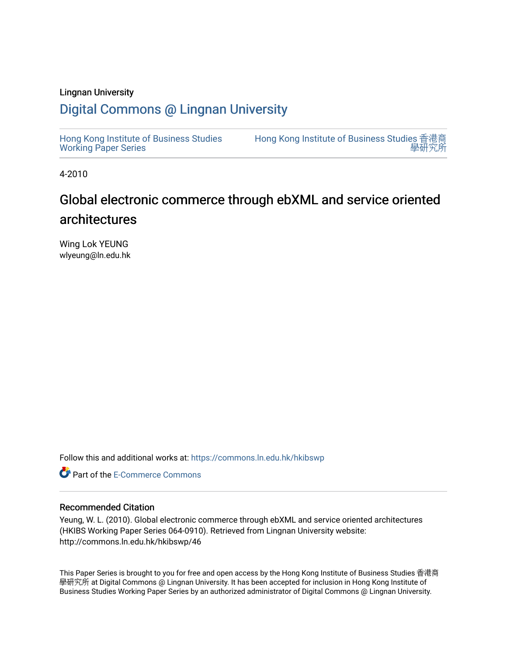#### Lingnan University

### [Digital Commons @ Lingnan University](https://commons.ln.edu.hk/)

[Hong Kong Institute of Business Studies](https://commons.ln.edu.hk/hkibswp) [Working Paper Series](https://commons.ln.edu.hk/hkibswp) [Hong Kong Institute of Business Studies](https://commons.ln.edu.hk/hkibs) 香港商 學研

4-2010

# Global electronic commerce through ebXML and service oriented architectures

Wing Lok YEUNG wlyeung@ln.edu.hk

Follow this and additional works at: [https://commons.ln.edu.hk/hkibswp](https://commons.ln.edu.hk/hkibswp?utm_source=commons.ln.edu.hk%2Fhkibswp%2F46&utm_medium=PDF&utm_campaign=PDFCoverPages) 

**C** Part of the [E-Commerce Commons](http://network.bepress.com/hgg/discipline/624?utm_source=commons.ln.edu.hk%2Fhkibswp%2F46&utm_medium=PDF&utm_campaign=PDFCoverPages)

#### Recommended Citation

Yeung, W. L. (2010). Global electronic commerce through ebXML and service oriented architectures (HKIBS Working Paper Series 064-0910). Retrieved from Lingnan University website: http://commons.ln.edu.hk/hkibswp/46

This Paper Series is brought to you for free and open access by the Hong Kong Institute of Business Studies 香港商 學研究所 at Digital Commons @ Lingnan University. It has been accepted for inclusion in Hong Kong Institute of Business Studies Working Paper Series by an authorized administrator of Digital Commons @ Lingnan University.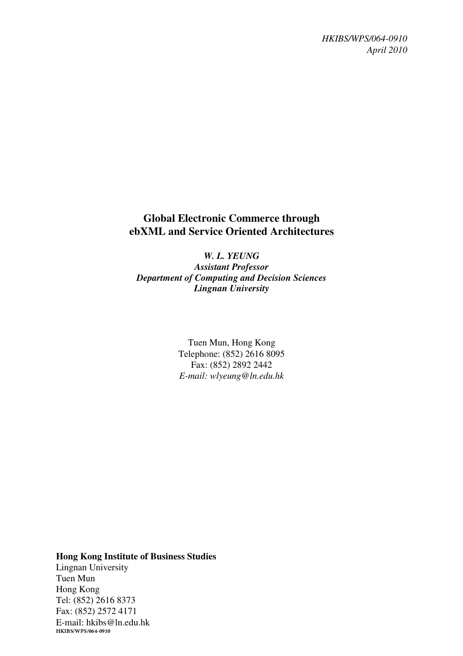*HKIBS/WPS/064-0910 April 2010* 

### **Global Electronic Commerce through ebXML and Service Oriented Architectures**

*W. L. YEUNG Assistant Professor Department of Computing and Decision Sciences Lingnan University* 

> Tuen Mun, Hong Kong Telephone: (852) 2616 8095 Fax: (852) 2892 2442 *E-mail: wlyeung@ln.edu.hk*

**Hong Kong Institute of Business Studies**  Lingnan University Tuen Mun Hong Kong Tel: (852) 2616 8373 Fax: (852) 2572 4171 E-mail: hkibs@ln.edu.hk **HKIBS/WPS/064-0910**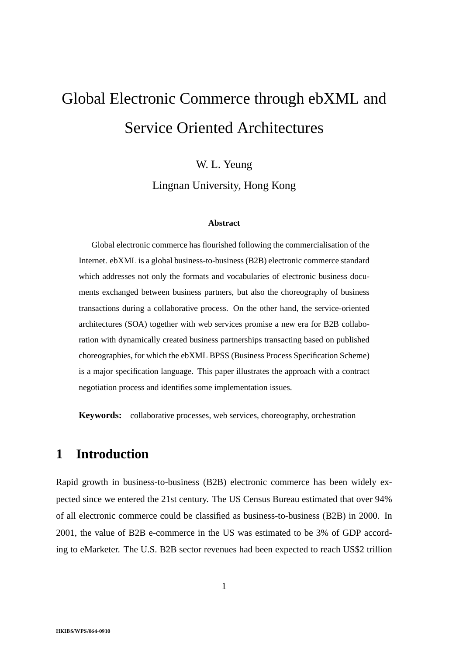# Global Electronic Commerce through ebXML and Service Oriented Architectures

W. L. Yeung

Lingnan University, Hong Kong

#### **Abstract**

Global electronic commerce has flourished following the commercialisation of the Internet. ebXML is a global business-to-business (B2B) electronic commerce standard which addresses not only the formats and vocabularies of electronic business documents exchanged between business partners, but also the choreography of business transactions during a collaborative process. On the other hand, the service-oriented architectures (SOA) together with web services promise a new era for B2B collaboration with dynamically created business partnerships transacting based on published choreographies, for which the ebXML BPSS (Business Process Specification Scheme) is a major specification language. This paper illustrates the approach with a contract negotiation process and identifies some implementation issues.

**Keywords:** collaborative processes, web services, choreography, orchestration

### **1 Introduction**

Rapid growth in business-to-business (B2B) electronic commerce has been widely expected since we entered the 21st century. The US Census Bureau estimated that over 94% of all electronic commerce could be classified as business-to-business (B2B) in 2000. In 2001, the value of B2B e-commerce in the US was estimated to be 3% of GDP according to eMarketer. The U.S. B2B sector revenues had been expected to reach US\$2 trillion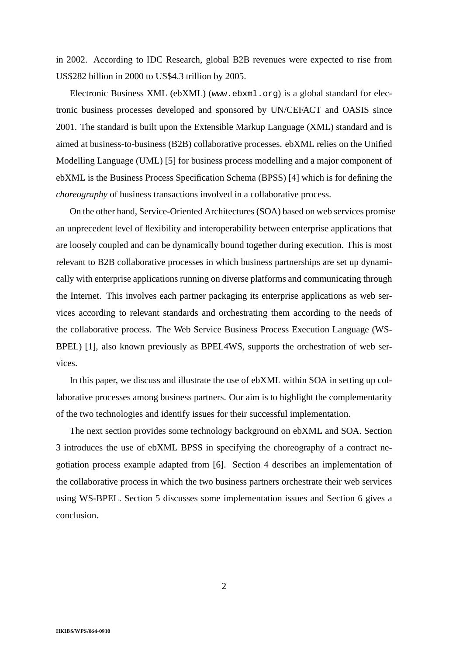in 2002. According to IDC Research, global B2B revenues were expected to rise from US\$282 billion in 2000 to US\$4.3 trillion by 2005.

Electronic Business XML (ebXML) (www.ebxml.org) is a global standard for electronic business processes developed and sponsored by UN/CEFACT and OASIS since 2001. The standard is built upon the Extensible Markup Language (XML) standard and is aimed at business-to-business (B2B) collaborative processes. ebXML relies on the Unified Modelling Language (UML) [5] for business process modelling and a major component of ebXML is the Business Process Specification Schema (BPSS) [4] which is for defining the *choreography* of business transactions involved in a collaborative process.

On the other hand, Service-Oriented Architectures (SOA) based on web services promise an unprecedent level of flexibility and interoperability between enterprise applications that are loosely coupled and can be dynamically bound together during execution. This is most relevant to B2B collaborative processes in which business partnerships are set up dynamically with enterprise applications running on diverse platforms and communicating through the Internet. This involves each partner packaging its enterprise applications as web services according to relevant standards and orchestrating them according to the needs of the collaborative process. The Web Service Business Process Execution Language (WS-BPEL) [1], also known previously as BPEL4WS, supports the orchestration of web services.

In this paper, we discuss and illustrate the use of ebXML within SOA in setting up collaborative processes among business partners. Our aim is to highlight the complementarity of the two technologies and identify issues for their successful implementation.

The next section provides some technology background on ebXML and SOA. Section 3 introduces the use of ebXML BPSS in specifying the choreography of a contract negotiation process example adapted from [6]. Section 4 describes an implementation of the collaborative process in which the two business partners orchestrate their web services using WS-BPEL. Section 5 discusses some implementation issues and Section 6 gives a conclusion.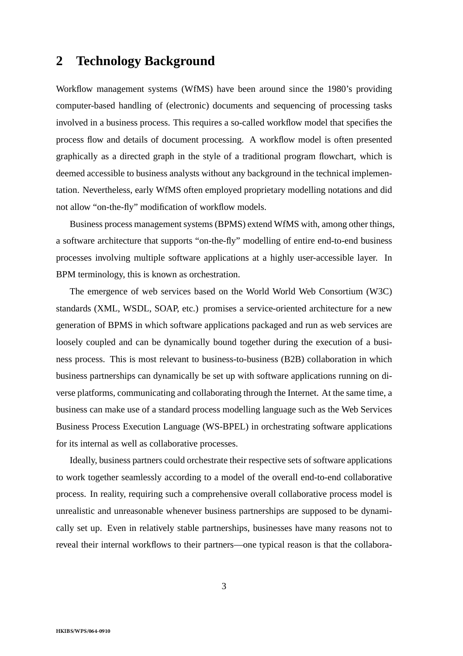### **2 Technology Background**

Workflow management systems (WfMS) have been around since the 1980's providing computer-based handling of (electronic) documents and sequencing of processing tasks involved in a business process. This requires a so-called workflow model that specifies the process flow and details of document processing. A workflow model is often presented graphically as a directed graph in the style of a traditional program flowchart, which is deemed accessible to business analysts without any background in the technical implementation. Nevertheless, early WfMS often employed proprietary modelling notations and did not allow "on-the-fly" modification of workflow models.

Business process management systems (BPMS) extend WfMS with, among other things, a software architecture that supports "on-the-fly" modelling of entire end-to-end business processes involving multiple software applications at a highly user-accessible layer. In BPM terminology, this is known as orchestration.

The emergence of web services based on the World World Web Consortium (W3C) standards (XML, WSDL, SOAP, etc.) promises a service-oriented architecture for a new generation of BPMS in which software applications packaged and run as web services are loosely coupled and can be dynamically bound together during the execution of a business process. This is most relevant to business-to-business (B2B) collaboration in which business partnerships can dynamically be set up with software applications running on diverse platforms, communicating and collaborating through the Internet. At the same time, a business can make use of a standard process modelling language such as the Web Services Business Process Execution Language (WS-BPEL) in orchestrating software applications for its internal as well as collaborative processes.

Ideally, business partners could orchestrate their respective sets of software applications to work together seamlessly according to a model of the overall end-to-end collaborative process. In reality, requiring such a comprehensive overall collaborative process model is unrealistic and unreasonable whenever business partnerships are supposed to be dynamically set up. Even in relatively stable partnerships, businesses have many reasons not to reveal their internal workflows to their partners—one typical reason is that the collabora-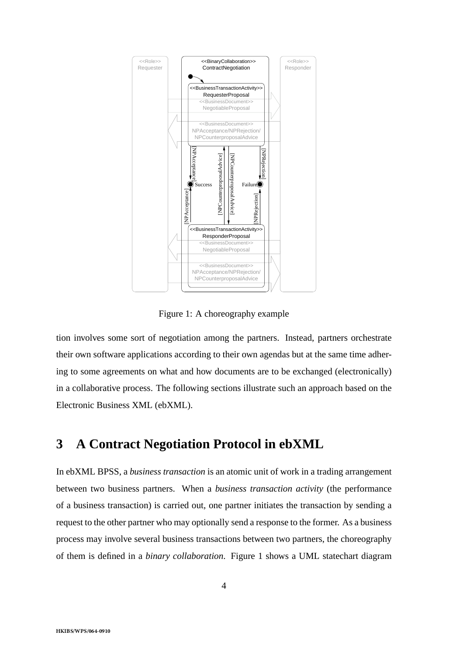

Figure 1: A choreography example

tion involves some sort of negotiation among the partners. Instead, partners orchestrate their own software applications according to their own agendas but at the same time adhering to some agreements on what and how documents are to be exchanged (electronically) in a collaborative process. The following sections illustrate such an approach based on the Electronic Business XML (ebXML).

# **3 A Contract Negotiation Protocol in ebXML**

In ebXML BPSS, a *business transaction* is an atomic unit of work in a trading arrangement between two business partners. When a *business transaction activity* (the performance of a business transaction) is carried out, one partner initiates the transaction by sending a request to the other partner who may optionally send a response to the former. As a business process may involve several business transactions between two partners, the choreography of them is defined in a *binary collaboration*. Figure 1 shows a UML statechart diagram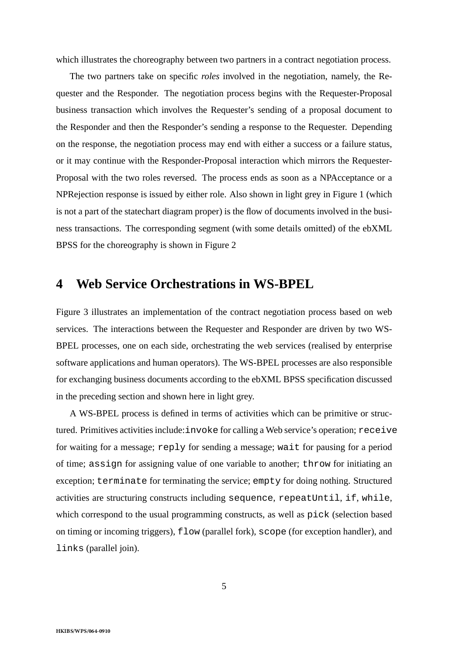which illustrates the choreography between two partners in a contract negotiation process.

The two partners take on specific *roles* involved in the negotiation, namely, the Requester and the Responder. The negotiation process begins with the Requester-Proposal business transaction which involves the Requester's sending of a proposal document to the Responder and then the Responder's sending a response to the Requester. Depending on the response, the negotiation process may end with either a success or a failure status, or it may continue with the Responder-Proposal interaction which mirrors the Requester-Proposal with the two roles reversed. The process ends as soon as a NPAcceptance or a NPRejection response is issued by either role. Also shown in light grey in Figure 1 (which is not a part of the statechart diagram proper) is the flow of documents involved in the business transactions. The corresponding segment (with some details omitted) of the ebXML BPSS for the choreography is shown in Figure 2

# **4 Web Service Orchestrations in WS-BPEL**

Figure 3 illustrates an implementation of the contract negotiation process based on web services. The interactions between the Requester and Responder are driven by two WS-BPEL processes, one on each side, orchestrating the web services (realised by enterprise software applications and human operators). The WS-BPEL processes are also responsible for exchanging business documents according to the ebXML BPSS specification discussed in the preceding section and shown here in light grey.

A WS-BPEL process is defined in terms of activities which can be primitive or structured. Primitives activities include:invoke for calling a Web service's operation; receive for waiting for a message; reply for sending a message; wait for pausing for a period of time; assign for assigning value of one variable to another; throw for initiating an exception; terminate for terminating the service; empty for doing nothing. Structured activities are structuring constructs including sequence, repeatUntil, if, while, which correspond to the usual programming constructs, as well as pick (selection based on timing or incoming triggers), flow (parallel fork), scope (for exception handler), and links (parallel join).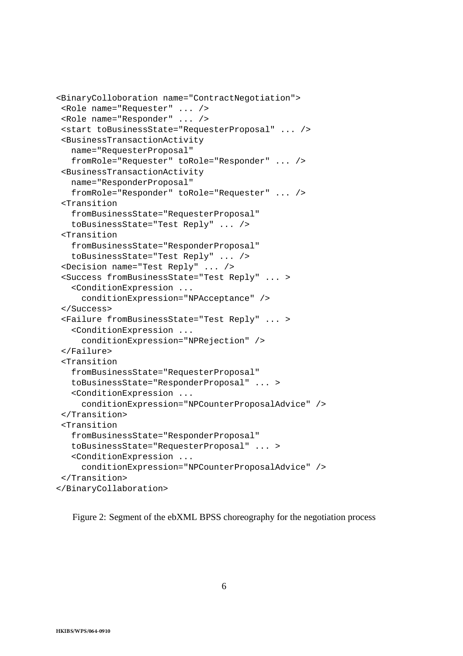```
<BinaryColloboration name="ContractNegotiation">
 <Role name="Requester" ... />
<Role name="Responder" ... />
<start toBusinessState="RequesterProposal" ... />
<BusinessTransactionActivity
  name="RequesterProposal"
   fromRole="Requester" toRole="Responder" ... />
 <BusinessTransactionActivity
  name="ResponderProposal"
   fromRole="Responder" toRole="Requester" ... />
<Transition
   fromBusinessState="RequesterProposal"
   toBusinessState="Test Reply" ... />
 <Transition
   fromBusinessState="ResponderProposal"
   toBusinessState="Test Reply" ... />
 <Decision name="Test Reply" ... />
 <Success fromBusinessState="Test Reply" ... >
   <ConditionExpression ...
     conditionExpression="NPAcceptance" />
</Success>
<Failure fromBusinessState="Test Reply" ... >
   <ConditionExpression ...
     conditionExpression="NPRejection" />
</Failure>
 <Transition
   fromBusinessState="RequesterProposal"
   toBusinessState="ResponderProposal" ... >
   <ConditionExpression ...
     conditionExpression="NPCounterProposalAdvice" />
</Transition>
 <Transition
   fromBusinessState="ResponderProposal"
   toBusinessState="RequesterProposal" ... >
   <ConditionExpression ...
     conditionExpression="NPCounterProposalAdvice" />
 </Transition>
</BinaryCollaboration>
```
Figure 2: Segment of the ebXML BPSS choreography for the negotiation process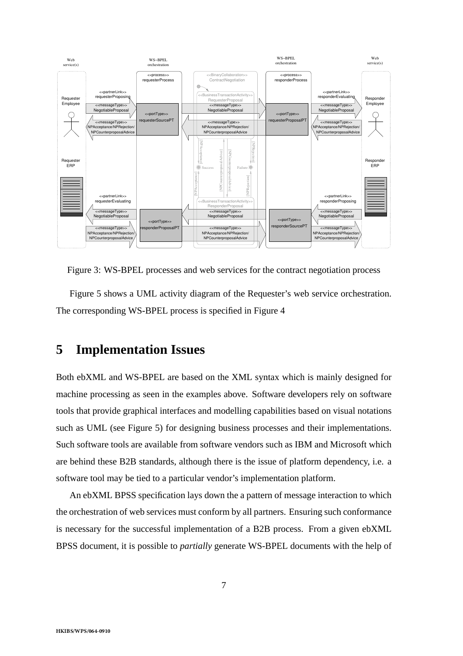

Figure 3: WS-BPEL processes and web services for the contract negotiation process

Figure 5 shows a UML activity diagram of the Requester's web service orchestration. The corresponding WS-BPEL process is specified in Figure 4

### **5 Implementation Issues**

Both ebXML and WS-BPEL are based on the XML syntax which is mainly designed for machine processing as seen in the examples above. Software developers rely on software tools that provide graphical interfaces and modelling capabilities based on visual notations such as UML (see Figure 5) for designing business processes and their implementations. Such software tools are available from software vendors such as IBM and Microsoft which are behind these B2B standards, although there is the issue of platform dependency, i.e. a software tool may be tied to a particular vendor's implementation platform.

An ebXML BPSS specification lays down the a pattern of message interaction to which the orchestration of web services must conform by all partners. Ensuring such conformance is necessary for the successful implementation of a B2B process. From a given ebXML BPSS document, it is possible to *partially* generate WS-BPEL documents with the help of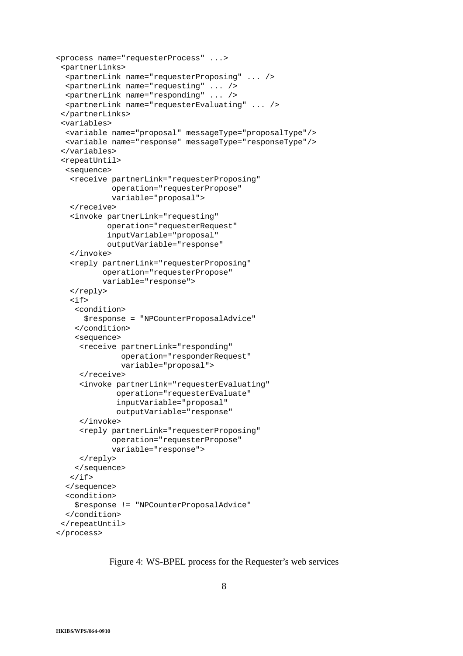```
<process name="requesterProcess" ...>
 <partnerLinks>
 <partnerLink name="requesterProposing" ... />
  <partnerLink name="requesting" ... />
  <partnerLink name="responding" ... />
  <partnerLink name="requesterEvaluating" ... />
 </partnerLinks>
 <variables>
  <variable name="proposal" messageType="proposalType"/>
 <variable name="response" messageType="responseType"/>
 </variables>
 <repeatUntil>
  <sequence>
   <receive partnerLink="requesterProposing"
            operation="requesterPropose"
            variable="proposal">
   </receive>
   <invoke partnerLink="requesting"
           operation="requesterRequest"
           inputVariable="proposal"
           outputVariable="response"
   </invoke>
   <reply partnerLink="requesterProposing"
          operation="requesterPropose"
          variable="response">
   </reply>
   \langleif>
    <condition>
      $response = "NPCounterProposalAdvice"
    </condition>
    <sequence>
     <receive partnerLink="responding"
              operation="responderRequest"
              variable="proposal">
     </receive>
     <invoke partnerLink="requesterEvaluating"
             operation="requesterEvaluate"
             inputVariable="proposal"
             outputVariable="response"
     </invoke>
     <reply partnerLink="requesterProposing"
            operation="requesterPropose"
            variable="response">
     </reply>
    </sequence>
   \langle / i f ></sequence>
  <condition>
    $response != "NPCounterProposalAdvice"
 </condition>
 </repeatUntil>
</process>
```
Figure 4: WS-BPEL process for the Requester's web services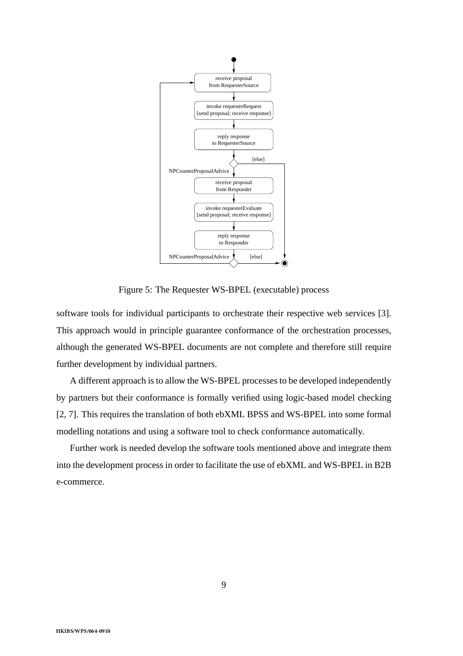

Figure 5: The Requester WS-BPEL (executable) process

software tools for individual participants to orchestrate their respective web services [3]. This approach would in principle guarantee conformance of the orchestration processes, although the generated WS-BPEL documents are not complete and therefore still require further development by individual partners.

A different approach is to allow the WS-BPEL processes to be developed independently by partners but their conformance is formally verified using logic-based model checking [2, 7]. This requires the translation of both ebXML BPSS and WS-BPEL into some formal modelling notations and using a software tool to check conformance automatically.

Further work is needed develop the software tools mentioned above and integrate them into the development process in order to facilitate the use of ebXML and WS-BPEL in B2B e-commerce.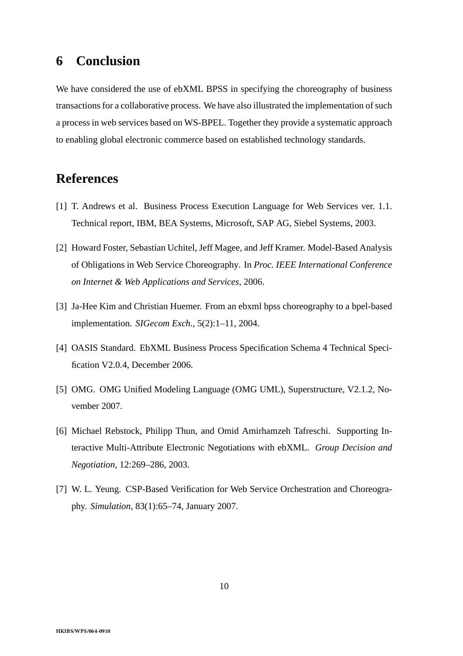# **6 Conclusion**

We have considered the use of ebXML BPSS in specifying the choreography of business transactions for a collaborative process. We have also illustrated the implementation of such a process in web services based on WS-BPEL. Together they provide a systematic approach to enabling global electronic commerce based on established technology standards.

# **References**

- [1] T. Andrews et al. Business Process Execution Language for Web Services ver. 1.1. Technical report, IBM, BEA Systems, Microsoft, SAP AG, Siebel Systems, 2003.
- [2] Howard Foster, Sebastian Uchitel, Jeff Magee, and Jeff Kramer. Model-Based Analysis of Obligations in Web Service Choreography. In *Proc. IEEE International Conference on Internet & Web Applications and Services*, 2006.
- [3] Ja-Hee Kim and Christian Huemer. From an ebxml bpss choreography to a bpel-based implementation. *SIGecom Exch.*, 5(2):1–11, 2004.
- [4] OASIS Standard. EbXML Business Process Specification Schema 4 Technical Specification V2.0.4, December 2006.
- [5] OMG. OMG Unified Modeling Language (OMG UML), Superstructure, V2.1.2, November 2007.
- [6] Michael Rebstock, Philipp Thun, and Omid Amirhamzeh Tafreschi. Supporting Interactive Multi-Attribute Electronic Negotiations with ebXML. *Group Decision and Negotiation*, 12:269–286, 2003.
- [7] W. L. Yeung. CSP-Based Verification for Web Service Orchestration and Choreography. *Simulation*, 83(1):65–74, January 2007.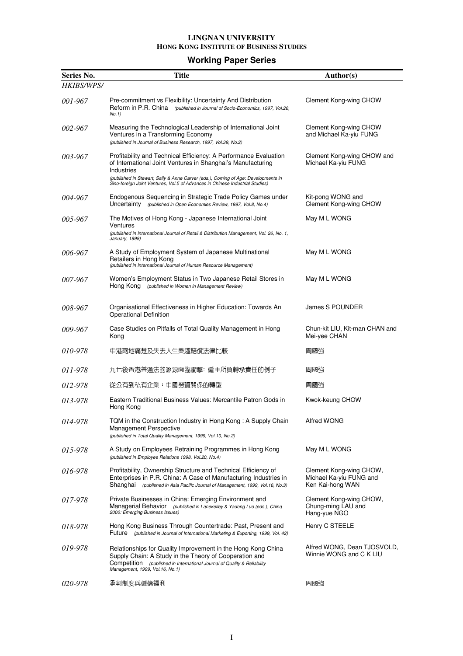### **Working Paper Series**

| Series No. | <b>Title</b>                                                                                                                                                                                                                          | Author(s)                                                              |
|------------|---------------------------------------------------------------------------------------------------------------------------------------------------------------------------------------------------------------------------------------|------------------------------------------------------------------------|
| HKIBS/WPS/ |                                                                                                                                                                                                                                       |                                                                        |
| 001-967    | Pre-commitment vs Flexibility: Uncertainty And Distribution<br>Reform in P.R. China (published in Journal of Socio-Economics, 1997, Vol.26,<br>No.1)                                                                                  | Clement Kong-wing CHOW                                                 |
| 002-967    | Measuring the Technological Leadership of International Joint<br>Ventures in a Transforming Economy<br>(published in Journal of Business Research, 1997, Vol.39, No.2)                                                                | Clement Kong-wing CHOW<br>and Michael Ka-yiu FUNG                      |
| 003-967    | Profitability and Technical Efficiency: A Performance Evaluation<br>of International Joint Ventures in Shanghai's Manufacturing<br>Industries<br>(published in Stewart, Sally & Anne Carver (eds.), Coming of Age: Developments in    | Clement Kong-wing CHOW and<br>Michael Ka-yiu FUNG                      |
| 004-967    | Sino-foreign Joint Ventures, Vol.5 of Advances in Chinese Industrial Studies)<br>Endogenous Sequencing in Strategic Trade Policy Games under<br>Uncertainty (published in Open Economies Review, 1997, Vol.8, No.4)                   | Kit-pong WONG and<br>Clement Kong-wing CHOW                            |
| 005-967    | The Motives of Hong Kong - Japanese International Joint<br>Ventures<br>(published in International Journal of Retail & Distribution Management, Vol. 26, No. 1,<br>January, 1998)                                                     | May M L WONG                                                           |
| 006-967    | A Study of Employment System of Japanese Multinational<br>Retailers in Hong Kong<br>(published in International Journal of Human Resource Management)                                                                                 | May M L WONG                                                           |
| 007-967    | Women's Employment Status in Two Japanese Retail Stores in<br>Hong Kong<br>(published in Women in Management Review)                                                                                                                  | May M L WONG                                                           |
| 008-967    | Organisational Effectiveness in Higher Education: Towards An<br><b>Operational Definition</b>                                                                                                                                         | James S POUNDER                                                        |
| 009-967    | Case Studies on Pitfalls of Total Quality Management in Hong<br>Kong                                                                                                                                                                  | Chun-kit LIU, Kit-man CHAN and<br>Mei-yee CHAN                         |
| 010-978    | 中港兩地痛楚及失去人生樂趣賠償法律比較                                                                                                                                                                                                                   | 周國強                                                                    |
| 011-978    | 九七後香港普通法的淵源面臨衝擊: 僱主所負轉承責任的例子                                                                                                                                                                                                          | 周國強                                                                    |
| 012-978    | 從公有到私有企業:中國勞資關係的轉型                                                                                                                                                                                                                    | 周國強                                                                    |
| 013-978    | Eastern Traditional Business Values: Mercantile Patron Gods in<br>Hong Kong                                                                                                                                                           | Kwok-keung CHOW                                                        |
| 014-978    | TQM in the Construction Industry in Hong Kong: A Supply Chain<br>Management Perspective<br>(published in Total Quality Management, 1999, Vol.10, No.2)                                                                                | Alfred WONG                                                            |
| 015-978    | A Study on Employees Retraining Programmes in Hong Kong<br>(published in Employee Relations 1998, Vol.20, No.4)                                                                                                                       | May M L WONG                                                           |
| 016-978    | Profitability, Ownership Structure and Technical Efficiency of<br>Enterprises in P.R. China: A Case of Manufacturing Industries in<br>Shanghai (published in Asia Pacific Journal of Management, 1999, Vol.16, No.3)                  | Clement Kong-wing CHOW,<br>Michael Ka-yiu FUNG and<br>Ken Kai-hong WAN |
| 017-978    | Private Businesses in China: Emerging Environment and<br>Managerial Behavior (published in Lanekelley & Yadong Luo (eds.), China<br>2000: Emerging Business Issues)                                                                   | Clement Kong-wing CHOW,<br>Chung-ming LAU and<br>Hang-yue NGO          |
| 018-978    | Hong Kong Business Through Countertrade: Past, Present and<br>Future (published in Journal of International Marketing & Exporting, 1999, Vol. 42)                                                                                     | Henry C STEELE                                                         |
| 019-978    | Relationships for Quality Improvement in the Hong Kong China<br>Supply Chain: A Study in the Theory of Cooperation and<br>Competition (published in International Journal of Quality & Reliability<br>Management, 1999, Vol.16, No.1) | Alfred WONG, Dean TJOSVOLD,<br>Winnie WONG and C K LIU                 |
| 020-978    | 承判制度與僱傭福利                                                                                                                                                                                                                             | 周國強                                                                    |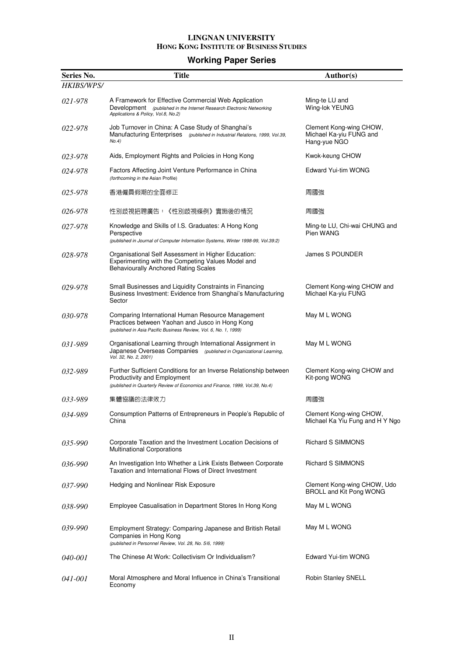### **Working Paper Series**

| Series No.        | <b>Title</b>                                                                                                                                                                     | Author(s)                                                          |
|-------------------|----------------------------------------------------------------------------------------------------------------------------------------------------------------------------------|--------------------------------------------------------------------|
| <b>HKIBS/WPS/</b> |                                                                                                                                                                                  |                                                                    |
| 021-978           | A Framework for Effective Commercial Web Application<br>Development (published in the Internet Research Electronic Networking<br>Applications & Policy, Vol.8, No.2)             | Ming-te LU and<br>Wing-lok YEUNG                                   |
| 022-978           | Job Turnover in China: A Case Study of Shanghai's<br>Manufacturing Enterprises (published in Industrial Relations, 1999, Vol.39,<br>No.4)                                        | Clement Kong-wing CHOW,<br>Michael Ka-yiu FUNG and<br>Hang-yue NGO |
| 023-978           | Aids, Employment Rights and Policies in Hong Kong                                                                                                                                | Kwok-keung CHOW                                                    |
| 024-978           | Factors Affecting Joint Venture Performance in China<br>(forthcoming in the Asian Profile)                                                                                       | Edward Yui-tim WONG                                                |
| 025-978           | 香港僱員假期的全面修正                                                                                                                                                                      | 周國強                                                                |
| 026-978           | 性別歧視招聘廣告:《性別歧視條例》實施後的情況                                                                                                                                                          | 周國強                                                                |
| 027-978           | Knowledge and Skills of I.S. Graduates: A Hong Kong<br>Perspective<br>(published in Journal of Computer Information Systems, Winter 1998-99, Vol.39:2)                           | Ming-te LU, Chi-wai CHUNG and<br>Pien WANG                         |
| 028-978           | Organisational Self Assessment in Higher Education:<br>Experimenting with the Competing Values Model and<br><b>Behaviourally Anchored Rating Scales</b>                          | James S POUNDER                                                    |
| 029-978           | Small Businesses and Liquidity Constraints in Financing<br>Business Investment: Evidence from Shanghai's Manufacturing<br>Sector                                                 | Clement Kong-wing CHOW and<br>Michael Ka-yiu FUNG                  |
| 030-978           | Comparing International Human Resource Management<br>Practices between Yaohan and Jusco in Hong Kong<br>(published in Asia Pacific Business Review, Vol. 6, No. 1, 1999)         | May M L WONG                                                       |
| 031-989           | Organisational Learning through International Assignment in<br>Japanese Overseas Companies (published in Organizational Learning,<br>Vol. 32, No. 2, 2001)                       | May M L WONG                                                       |
| 032-989           | Further Sufficient Conditions for an Inverse Relationship between<br>Productivity and Employment<br>(published in Quarterly Review of Economics and Finance, 1999, Vol.39, No.4) | Clement Kong-wing CHOW and<br>Kit-pong WONG                        |
| 033-989           | 集體協議的法律效力                                                                                                                                                                        | 周國強                                                                |
| 034-989           | Consumption Patterns of Entrepreneurs in People's Republic of<br>China                                                                                                           | Clement Kong-wing CHOW,<br>Michael Ka Yiu Fung and H Y Ngo         |
| $035 - 990$       | Corporate Taxation and the Investment Location Decisions of<br><b>Multinational Corporations</b>                                                                                 | Richard S SIMMONS                                                  |
| 036-990           | An Investigation Into Whether a Link Exists Between Corporate<br>Taxation and International Flows of Direct Investment                                                           | Richard S SIMMONS                                                  |
| <i>037-990</i>    | Hedging and Nonlinear Risk Exposure                                                                                                                                              | Clement Kong-wing CHOW, Udo<br><b>BROLL and Kit Pong WONG</b>      |
| 038-990           | Employee Casualisation in Department Stores In Hong Kong                                                                                                                         | May M L WONG                                                       |
| 039-990           | Employment Strategy: Comparing Japanese and British Retail<br>Companies in Hong Kong<br>(published in Personnel Review, Vol. 28, No. 5/6, 1999)                                  | May M L WONG                                                       |
| <i>040-001</i>    | The Chinese At Work: Collectivism Or Individualism?                                                                                                                              | Edward Yui-tim WONG                                                |
| <i>041-001</i>    | Moral Atmosphere and Moral Influence in China's Transitional<br>Economy                                                                                                          | Robin Stanley SNELL                                                |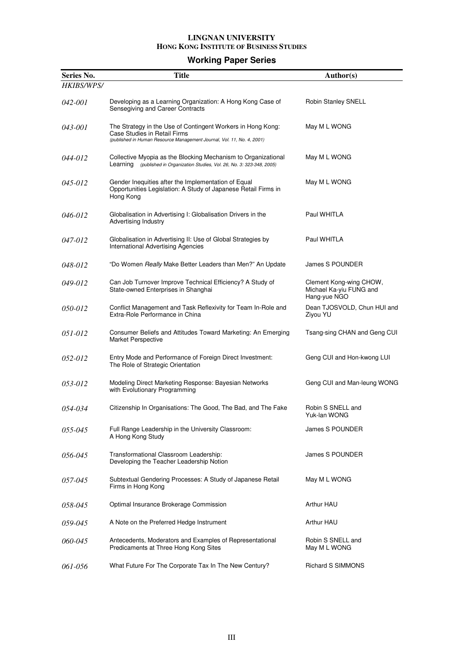### **Working Paper Series**

| Series No.     | <b>Title</b>                                                                                                                                                          | Author(s)                                                          |
|----------------|-----------------------------------------------------------------------------------------------------------------------------------------------------------------------|--------------------------------------------------------------------|
| HKIBS/WPS/     |                                                                                                                                                                       |                                                                    |
| <i>042-001</i> | Developing as a Learning Organization: A Hong Kong Case of<br>Sensegiving and Career Contracts                                                                        | Robin Stanley SNELL                                                |
| <i>043-001</i> | The Strategy in the Use of Contingent Workers in Hong Kong:<br>Case Studies in Retail Firms<br>(published in Human Resource Management Journal, Vol. 11, No. 4, 2001) | May M L WONG                                                       |
| 044-012        | Collective Myopia as the Blocking Mechanism to Organizational<br>Learning (published in Organization Studies, Vol. 26, No. 3: 323-348, 2005)                          | May M L WONG                                                       |
| 045-012        | Gender Inequities after the Implementation of Equal<br>Opportunities Legislation: A Study of Japanese Retail Firms in<br>Hong Kong                                    | May M L WONG                                                       |
| 046-012        | Globalisation in Advertising I: Globalisation Drivers in the<br>Advertising Industry                                                                                  | Paul WHITLA                                                        |
| 047-012        | Globalisation in Advertising II: Use of Global Strategies by<br><b>International Advertising Agencies</b>                                                             | Paul WHITLA                                                        |
| 048-012        | "Do Women Really Make Better Leaders than Men?" An Update                                                                                                             | James S POUNDER                                                    |
| 049-012        | Can Job Turnover Improve Technical Efficiency? A Study of<br>State-owned Enterprises in Shanghai                                                                      | Clement Kong-wing CHOW,<br>Michael Ka-yiu FUNG and<br>Hang-yue NGO |
| <i>050-012</i> | Conflict Management and Task Reflexivity for Team In-Role and<br>Extra-Role Performance in China                                                                      | Dean TJOSVOLD, Chun HUI and<br>Ziyou YU                            |
| 051-012        | Consumer Beliefs and Attitudes Toward Marketing: An Emerging<br>Market Perspective                                                                                    | Tsang-sing CHAN and Geng CUI                                       |
| 052-012        | Entry Mode and Performance of Foreign Direct Investment:<br>The Role of Strategic Orientation                                                                         | Geng CUI and Hon-kwong LUI                                         |
| 053-012        | Modeling Direct Marketing Response: Bayesian Networks<br>with Evolutionary Programming                                                                                | Geng CUI and Man-leung WONG                                        |
| 054-034        | Citizenship In Organisations: The Good, The Bad, and The Fake                                                                                                         | Robin S SNELL and<br>Yuk-lan WONG                                  |
| 055-045        | Full Range Leadership in the University Classroom:<br>A Hong Kong Study                                                                                               | James S POUNDER                                                    |
| 056-045        | Transformational Classroom Leadership:<br>Developing the Teacher Leadership Notion                                                                                    | James S POUNDER                                                    |
| 057-045        | Subtextual Gendering Processes: A Study of Japanese Retail<br>Firms in Hong Kong                                                                                      | May M L WONG                                                       |
| 058-045        | Optimal Insurance Brokerage Commission                                                                                                                                | Arthur HAU                                                         |
| 059-045        | A Note on the Preferred Hedge Instrument                                                                                                                              | Arthur HAU                                                         |
| 060-045        | Antecedents, Moderators and Examples of Representational<br>Predicaments at Three Hong Kong Sites                                                                     | Robin S SNELL and<br>May M L WONG                                  |
| 061-056        | What Future For The Corporate Tax In The New Century?                                                                                                                 | Richard S SIMMONS                                                  |